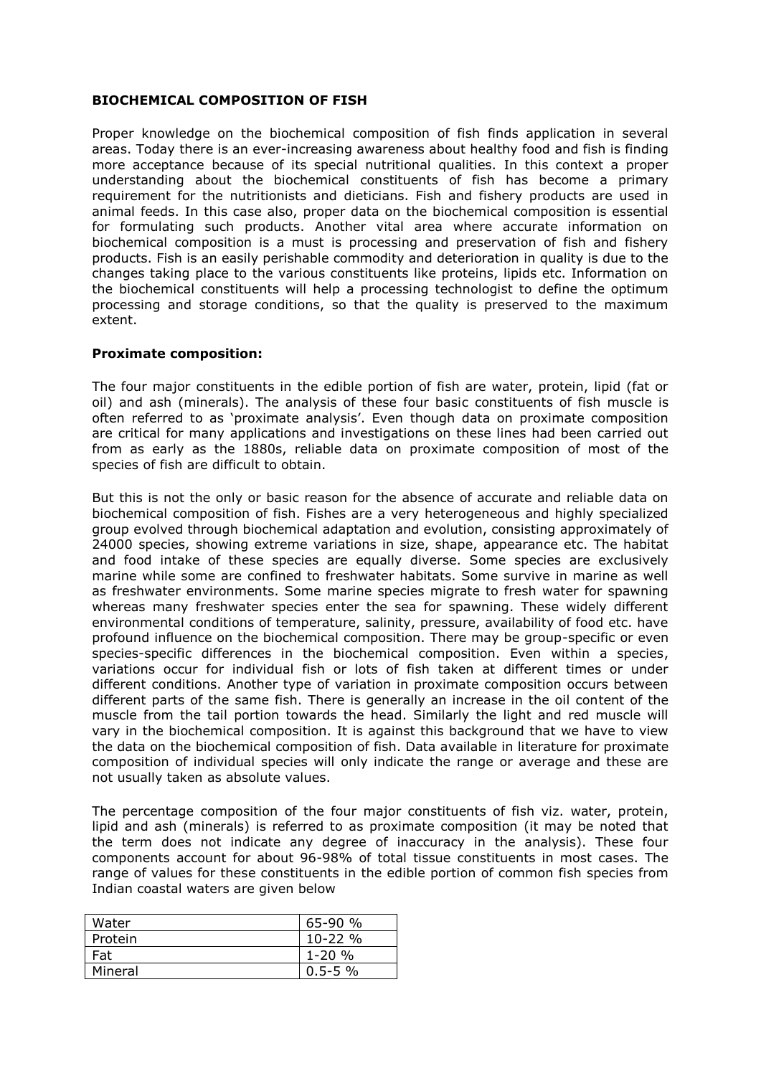#### **BIOCHEMICAL COMPOSITION OF FISH**

Proper knowledge on the biochemical composition of fish finds application in several areas. Today there is an ever-increasing awareness about healthy food and fish is finding more acceptance because of its special nutritional qualities. In this context a proper understanding about the biochemical constituents of fish has become a primary requirement for the nutritionists and dieticians. Fish and fishery products are used in animal feeds. In this case also, proper data on the biochemical composition is essential for formulating such products. Another vital area where accurate information on biochemical composition is a must is processing and preservation of fish and fishery products. Fish is an easily perishable commodity and deterioration in quality is due to the changes taking place to the various constituents like proteins, lipids etc. Information on the biochemical constituents will help a processing technologist to define the optimum processing and storage conditions, so that the quality is preserved to the maximum extent.

## **Proximate composition:**

The four major constituents in the edible portion of fish are water, protein, lipid (fat or oil) and ash (minerals). The analysis of these four basic constituents of fish muscle is often referred to as 'proximate analysis'. Even though data on proximate composition are critical for many applications and investigations on these lines had been carried out from as early as the 1880s, reliable data on proximate composition of most of the species of fish are difficult to obtain.

But this is not the only or basic reason for the absence of accurate and reliable data on biochemical composition of fish. Fishes are a very heterogeneous and highly specialized group evolved through biochemical adaptation and evolution, consisting approximately of 24000 species, showing extreme variations in size, shape, appearance etc. The habitat and food intake of these species are equally diverse. Some species are exclusively marine while some are confined to freshwater habitats. Some survive in marine as well as freshwater environments. Some marine species migrate to fresh water for spawning whereas many freshwater species enter the sea for spawning. These widely different environmental conditions of temperature, salinity, pressure, availability of food etc. have profound influence on the biochemical composition. There may be group-specific or even species-specific differences in the biochemical composition. Even within a species, variations occur for individual fish or lots of fish taken at different times or under different conditions. Another type of variation in proximate composition occurs between different parts of the same fish. There is generally an increase in the oil content of the muscle from the tail portion towards the head. Similarly the light and red muscle will vary in the biochemical composition. It is against this background that we have to view the data on the biochemical composition of fish. Data available in literature for proximate composition of individual species will only indicate the range or average and these are not usually taken as absolute values.

The percentage composition of the four major constituents of fish viz. water, protein, lipid and ash (minerals) is referred to as proximate composition (it may be noted that the term does not indicate any degree of inaccuracy in the analysis). These four components account for about 96-98% of total tissue constituents in most cases. The range of values for these constituents in the edible portion of common fish species from Indian coastal waters are given below

| Water   | $65-90%$     |
|---------|--------------|
| Protein | $10 - 22 \%$ |
| Fat     | $1 - 20 \%$  |
| Mineral | $0.5 - 5 \%$ |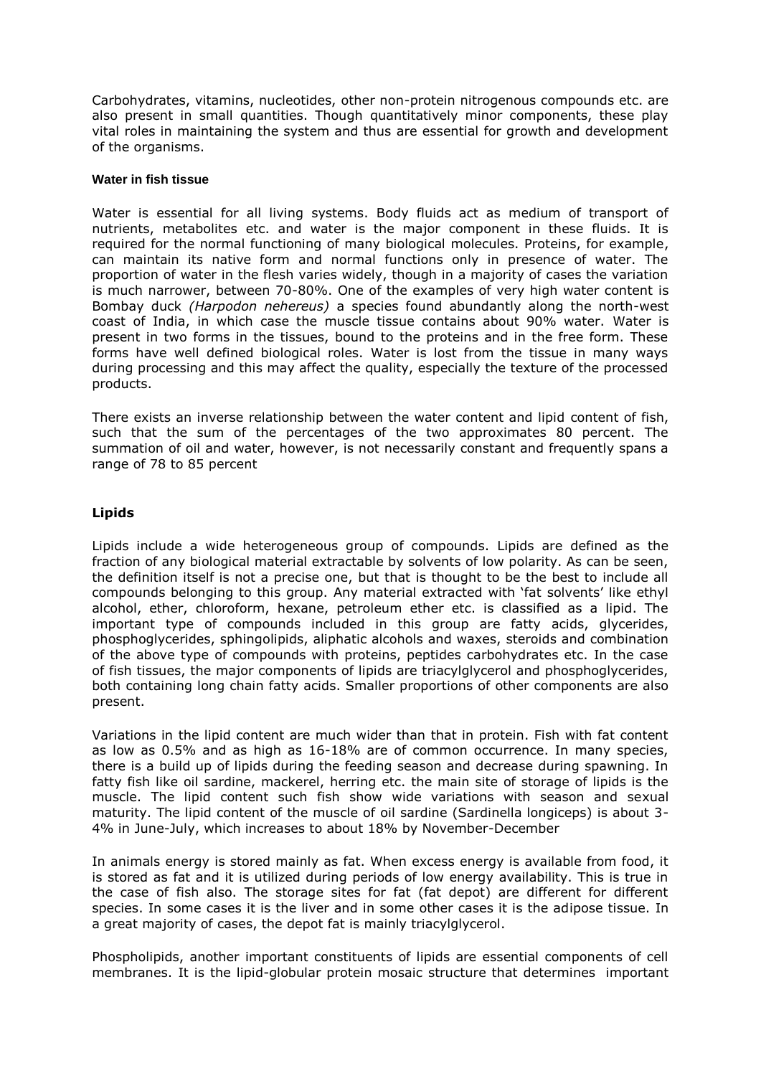Carbohydrates, vitamins, nucleotides, other non-protein nitrogenous compounds etc. are also present in small quantities. Though quantitatively minor components, these play vital roles in maintaining the system and thus are essential for growth and development of the organisms.

#### **Water in fish tissue**

Water is essential for all living systems. Body fluids act as medium of transport of nutrients, metabolites etc. and water is the major component in these fluids. It is required for the normal functioning of many biological molecules. Proteins, for example, can maintain its native form and normal functions only in presence of water. The proportion of water in the flesh varies widely, though in a majority of cases the variation is much narrower, between 70-80%. One of the examples of very high water content is Bombay duck *(Harpodon nehereus)* a species found abundantly along the north-west coast of India, in which case the muscle tissue contains about 90% water. Water is present in two forms in the tissues, bound to the proteins and in the free form. These forms have well defined biological roles. Water is lost from the tissue in many ways during processing and this may affect the quality, especially the texture of the processed products.

There exists an inverse relationship between the water content and lipid content of fish, such that the sum of the percentages of the two approximates 80 percent. The summation of oil and water, however, is not necessarily constant and frequently spans a range of 78 to 85 percent

# **Lipids**

Lipids include a wide heterogeneous group of compounds. Lipids are defined as the fraction of any biological material extractable by solvents of low polarity. As can be seen, the definition itself is not a precise one, but that is thought to be the best to include all compounds belonging to this group. Any material extracted with 'fat solvents' like ethyl alcohol, ether, chloroform, hexane, petroleum ether etc. is classified as a lipid. The important type of compounds included in this group are fatty acids, glycerides, phosphoglycerides, sphingolipids, aliphatic alcohols and waxes, steroids and combination of the above type of compounds with proteins, peptides carbohydrates etc. In the case of fish tissues, the major components of lipids are triacylglycerol and phosphoglycerides, both containing long chain fatty acids. Smaller proportions of other components are also present.

Variations in the lipid content are much wider than that in protein. Fish with fat content as low as 0.5% and as high as 16-18% are of common occurrence. In many species, there is a build up of lipids during the feeding season and decrease during spawning. In fatty fish like oil sardine, mackerel, herring etc. the main site of storage of lipids is the muscle. The lipid content such fish show wide variations with season and sexual maturity. The lipid content of the muscle of oil sardine (Sardinella longiceps) is about 3- 4% in June-July, which increases to about 18% by November-December

In animals energy is stored mainly as fat. When excess energy is available from food, it is stored as fat and it is utilized during periods of low energy availability. This is true in the case of fish also. The storage sites for fat (fat depot) are different for different species. In some cases it is the liver and in some other cases it is the adipose tissue. In a great majority of cases, the depot fat is mainly triacylglycerol.

Phospholipids, another important constituents of lipids are essential components of cell membranes. It is the lipid-globular protein mosaic structure that determines important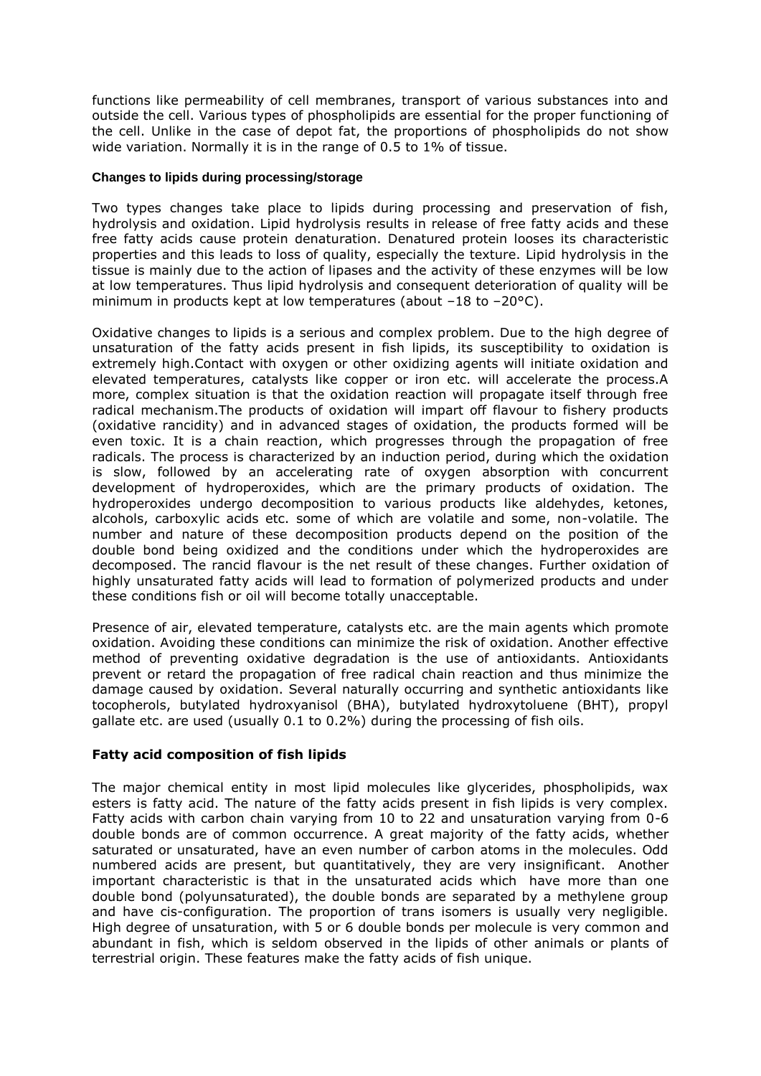functions like permeability of cell membranes, transport of various substances into and outside the cell. Various types of phospholipids are essential for the proper functioning of the cell. Unlike in the case of depot fat, the proportions of phospholipids do not show wide variation. Normally it is in the range of 0.5 to 1% of tissue.

## **Changes to lipids during processing/storage**

Two types changes take place to lipids during processing and preservation of fish, hydrolysis and oxidation. Lipid hydrolysis results in release of free fatty acids and these free fatty acids cause protein denaturation. Denatured protein looses its characteristic properties and this leads to loss of quality, especially the texture. Lipid hydrolysis in the tissue is mainly due to the action of lipases and the activity of these enzymes will be low at low temperatures. Thus lipid hydrolysis and consequent deterioration of quality will be minimum in products kept at low temperatures (about  $-18$  to  $-20$ °C).

Oxidative changes to lipids is a serious and complex problem. Due to the high degree of unsaturation of the fatty acids present in fish lipids, its susceptibility to oxidation is extremely high.Contact with oxygen or other oxidizing agents will initiate oxidation and elevated temperatures, catalysts like copper or iron etc. will accelerate the process.A more, complex situation is that the oxidation reaction will propagate itself through free radical mechanism.The products of oxidation will impart off flavour to fishery products (oxidative rancidity) and in advanced stages of oxidation, the products formed will be even toxic. It is a chain reaction, which progresses through the propagation of free radicals. The process is characterized by an induction period, during which the oxidation is slow, followed by an accelerating rate of oxygen absorption with concurrent development of hydroperoxides, which are the primary products of oxidation. The hydroperoxides undergo decomposition to various products like aldehydes, ketones, alcohols, carboxylic acids etc. some of which are volatile and some, non-volatile. The number and nature of these decomposition products depend on the position of the double bond being oxidized and the conditions under which the hydroperoxides are decomposed. The rancid flavour is the net result of these changes. Further oxidation of highly unsaturated fatty acids will lead to formation of polymerized products and under these conditions fish or oil will become totally unacceptable.

Presence of air, elevated temperature, catalysts etc. are the main agents which promote oxidation. Avoiding these conditions can minimize the risk of oxidation. Another effective method of preventing oxidative degradation is the use of antioxidants. Antioxidants prevent or retard the propagation of free radical chain reaction and thus minimize the damage caused by oxidation. Several naturally occurring and synthetic antioxidants like tocopherols, butylated hydroxyanisol (BHA), butylated hydroxytoluene (BHT), propyl gallate etc. are used (usually 0.1 to 0.2%) during the processing of fish oils.

## **Fatty acid composition of fish lipids**

The major chemical entity in most lipid molecules like glycerides, phospholipids, wax esters is fatty acid. The nature of the fatty acids present in fish lipids is very complex. Fatty acids with carbon chain varying from 10 to 22 and unsaturation varying from 0-6 double bonds are of common occurrence. A great majority of the fatty acids, whether saturated or unsaturated, have an even number of carbon atoms in the molecules. Odd numbered acids are present, but quantitatively, they are very insignificant. Another important characteristic is that in the unsaturated acids which have more than one double bond (polyunsaturated), the double bonds are separated by a methylene group and have cis-configuration. The proportion of trans isomers is usually very negligible. High degree of unsaturation, with 5 or 6 double bonds per molecule is very common and abundant in fish, which is seldom observed in the lipids of other animals or plants of terrestrial origin. These features make the fatty acids of fish unique.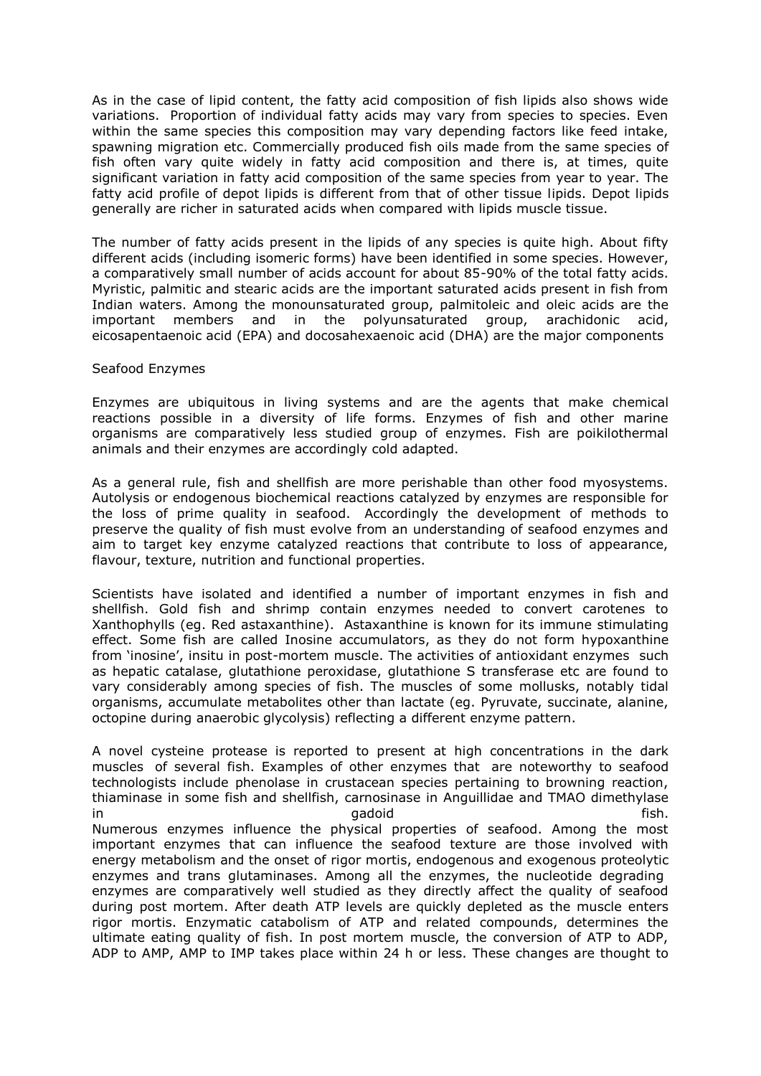As in the case of lipid content, the fatty acid composition of fish lipids also shows wide variations. Proportion of individual fatty acids may vary from species to species. Even within the same species this composition may vary depending factors like feed intake, spawning migration etc. Commercially produced fish oils made from the same species of fish often vary quite widely in fatty acid composition and there is, at times, quite significant variation in fatty acid composition of the same species from year to year. The fatty acid profile of depot lipids is different from that of other tissue lipids. Depot lipids generally are richer in saturated acids when compared with lipids muscle tissue.

The number of fatty acids present in the lipids of any species is quite high. About fifty different acids (including isomeric forms) have been identified in some species. However, a comparatively small number of acids account for about 85-90% of the total fatty acids. Myristic, palmitic and stearic acids are the important saturated acids present in fish from Indian waters. Among the monounsaturated group, palmitoleic and oleic acids are the important members and in the polyunsaturated group, arachidonic acid, eicosapentaenoic acid (EPA) and docosahexaenoic acid (DHA) are the major components

#### Seafood Enzymes

Enzymes are ubiquitous in living systems and are the agents that make chemical reactions possible in a diversity of life forms. Enzymes of fish and other marine organisms are comparatively less studied group of enzymes. Fish are poikilothermal animals and their enzymes are accordingly cold adapted.

As a general rule, fish and shellfish are more perishable than other food myosystems. Autolysis or endogenous biochemical reactions catalyzed by enzymes are responsible for the loss of prime quality in seafood. Accordingly the development of methods to preserve the quality of fish must evolve from an understanding of seafood enzymes and aim to target key enzyme catalyzed reactions that contribute to loss of appearance, flavour, texture, nutrition and functional properties.

Scientists have isolated and identified a number of important enzymes in fish and shellfish. Gold fish and shrimp contain enzymes needed to convert carotenes to Xanthophylls (eg. Red astaxanthine). Astaxanthine is known for its immune stimulating effect. Some fish are called Inosine accumulators, as they do not form hypoxanthine from 'inosine', insitu in post-mortem muscle. The activities of antioxidant enzymes such as hepatic catalase, glutathione peroxidase, glutathione S transferase etc are found to vary considerably among species of fish. The muscles of some mollusks, notably tidal organisms, accumulate metabolites other than lactate (eg. Pyruvate, succinate, alanine, octopine during anaerobic glycolysis) reflecting a different enzyme pattern.

A novel cysteine protease is reported to present at high concentrations in the dark muscles of several fish. Examples of other enzymes that are noteworthy to seafood technologists include phenolase in crustacean species pertaining to browning reaction, thiaminase in some fish and shellfish, carnosinase in Anguillidae and TMAO dimethylase in a state of the state of the state of the state of the state of the state of the state of the state of the s Numerous enzymes influence the physical properties of seafood. Among the most important enzymes that can influence the seafood texture are those involved with energy metabolism and the onset of rigor mortis, endogenous and exogenous proteolytic enzymes and trans glutaminases. Among all the enzymes, the nucleotide degrading enzymes are comparatively well studied as they directly affect the quality of seafood during post mortem. After death ATP levels are quickly depleted as the muscle enters rigor mortis. Enzymatic catabolism of ATP and related compounds, determines the ultimate eating quality of fish. In post mortem muscle, the conversion of ATP to ADP, ADP to AMP, AMP to IMP takes place within 24 h or less. These changes are thought to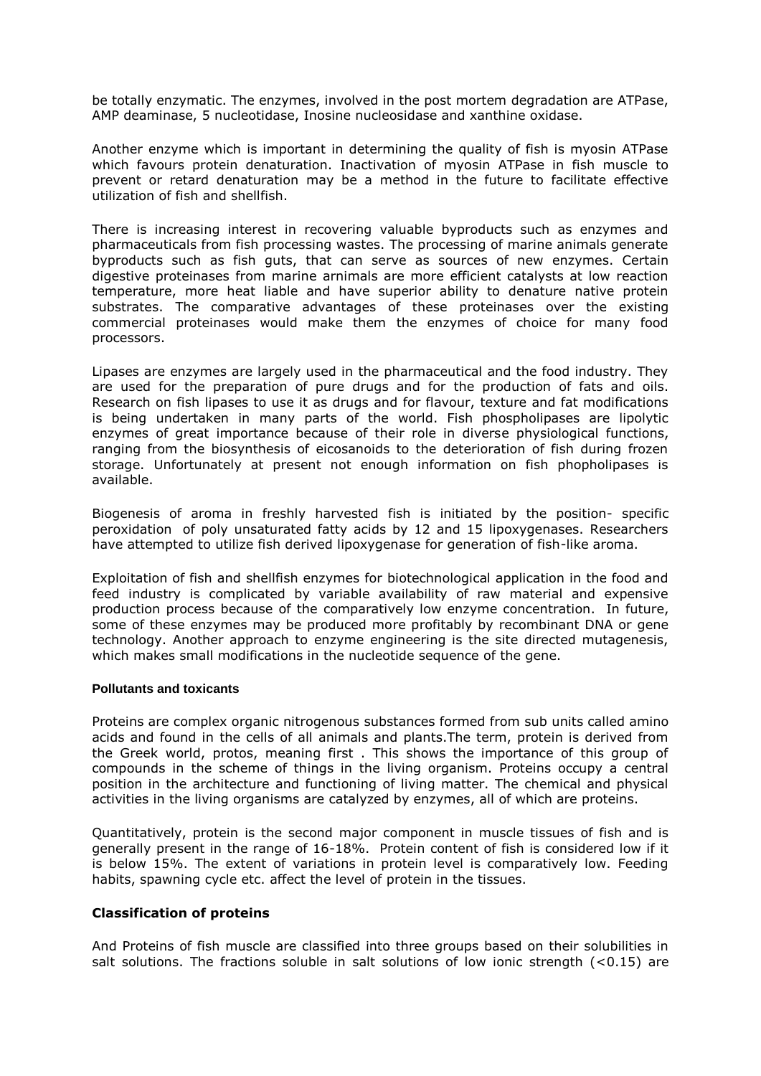be totally enzymatic. The enzymes, involved in the post mortem degradation are ATPase, AMP deaminase, 5 nucleotidase, Inosine nucleosidase and xanthine oxidase.

Another enzyme which is important in determining the quality of fish is myosin ATPase which favours protein denaturation. Inactivation of myosin ATPase in fish muscle to prevent or retard denaturation may be a method in the future to facilitate effective utilization of fish and shellfish.

There is increasing interest in recovering valuable byproducts such as enzymes and pharmaceuticals from fish processing wastes. The processing of marine animals generate byproducts such as fish guts, that can serve as sources of new enzymes. Certain digestive proteinases from marine arnimals are more efficient catalysts at low reaction temperature, more heat liable and have superior ability to denature native protein substrates. The comparative advantages of these proteinases over the existing commercial proteinases would make them the enzymes of choice for many food processors.

Lipases are enzymes are largely used in the pharmaceutical and the food industry. They are used for the preparation of pure drugs and for the production of fats and oils. Research on fish lipases to use it as drugs and for flavour, texture and fat modifications is being undertaken in many parts of the world. Fish phospholipases are lipolytic enzymes of great importance because of their role in diverse physiological functions, ranging from the biosynthesis of eicosanoids to the deterioration of fish during frozen storage. Unfortunately at present not enough information on fish phopholipases is available.

Biogenesis of aroma in freshly harvested fish is initiated by the position- specific peroxidation of poly unsaturated fatty acids by 12 and 15 lipoxygenases. Researchers have attempted to utilize fish derived lipoxygenase for generation of fish-like aroma.

Exploitation of fish and shellfish enzymes for biotechnological application in the food and feed industry is complicated by variable availability of raw material and expensive production process because of the comparatively low enzyme concentration. In future, some of these enzymes may be produced more profitably by recombinant DNA or gene technology. Another approach to enzyme engineering is the site directed mutagenesis, which makes small modifications in the nucleotide sequence of the gene.

#### **Pollutants and toxicants**

Proteins are complex organic nitrogenous substances formed from sub units called amino acids and found in the cells of all animals and plants.The term, protein is derived from the Greek world, protos, meaning first . This shows the importance of this group of compounds in the scheme of things in the living organism. Proteins occupy a central position in the architecture and functioning of living matter. The chemical and physical activities in the living organisms are catalyzed by enzymes, all of which are proteins.

Quantitatively, protein is the second major component in muscle tissues of fish and is generally present in the range of 16-18%. Protein content of fish is considered low if it is below 15%. The extent of variations in protein level is comparatively low. Feeding habits, spawning cycle etc. affect the level of protein in the tissues.

## **Classification of proteins**

And Proteins of fish muscle are classified into three groups based on their solubilities in salt solutions. The fractions soluble in salt solutions of low ionic strength  $($  <0.15) are